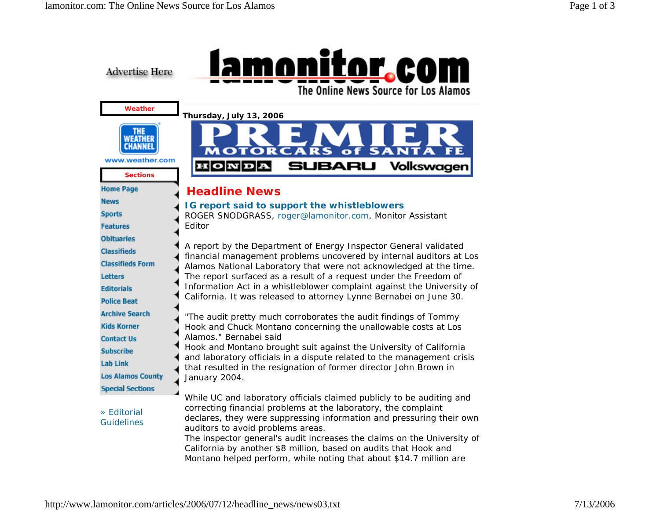

http://www.lamonitor.com/articles/2006/07/12/headline\_news/news03.txt 7/13/2006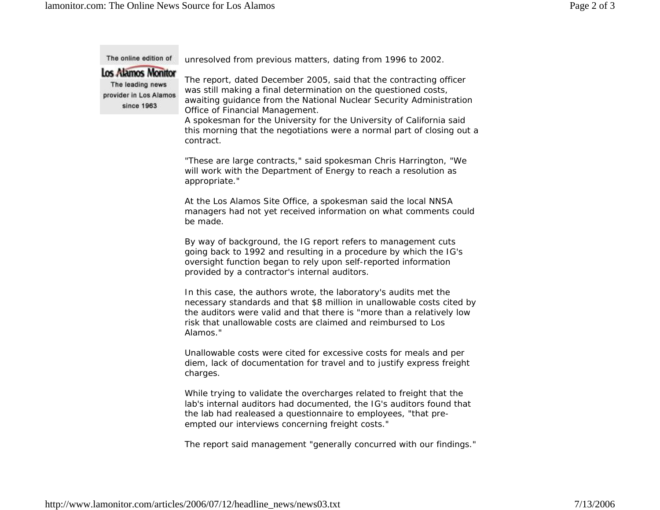The online edition of unresolved from previous matters, dating from 1996 to 2002. **Los Alamos Monitor** The report, dated December 2005, said that the contracting officer The leading news was still making a final determination on the questioned costs, provider in Los Alamos awaiting guidance from the National Nuclear Security Administration since 1963 Office of Financial Management. A spokesman for the University for the University of California said this mornin g that the ne gotiations were a normal part of closin g out a contract. "These are large contracts," said spokesman Chris Harrington, "We will work with the Department of Energy to reach a resolution as appropriate." At the Los Alamos Site Office, a spokesman said the local NNSA managers had not yet received information on what comments could be made. By way of background, the IG report refers to management cuts going back to 1992 and resulting in a procedure by which the IG's oversight function began to rely upon self-reported information provided by a contractor's internal auditors. In this case, the authors wrote, the laboratory's audits met the necessary standards and that \$8 million in unallowable costs cited by the auditors were valid and that there is "more than a relatively low risk that unallowable costs are claimed and reimbursed to Los Alamos." Unallowable costs were cited for excessive costs for meals and per diem, lack of documentation for travel and to justify express freight charges. While trying to validate the overcharges related to freight that the lab's internal auditors had documented, the IG's auditors found that the lab had realeased a questionnaire to employees, "that preempted our interviews concerning freight costs."

The report said management "generally concurred with our findings."